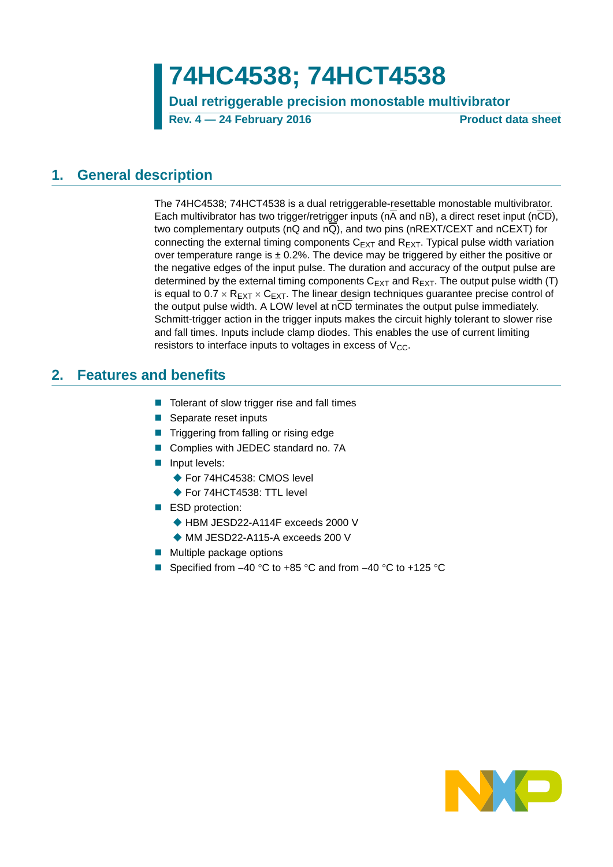**Dual retriggerable precision monostable multivibrator**

**Rev. 4 — 24 February 2016 Product data sheet**

### <span id="page-0-0"></span>**1. General description**

The 74HC4538; 74HCT4538 is a dual retriggerable-resettable monostable multivibrator. Each multivibrator has two trigger/retrigger inputs ( $n\overline{A}$  and  $nB$ ), a direct reset input ( $n\overline{CD}$ ), two complementary outputs (nQ and nQ), and two pins (nREXT/CEXT and nCEXT) for connecting the external timing components  $C_{\text{EXT}}$  and  $R_{\text{EXT}}$ . Typical pulse width variation over temperature range is  $\pm$  0.2%. The device may be triggered by either the positive or the negative edges of the input pulse. The duration and accuracy of the output pulse are determined by the external timing components  $C_{EXT}$  and  $R_{EXT}$ . The output pulse width (T) is equal to  $0.7 \times R_{\text{EXT}} \times C_{\text{EXT}}$ . The linear design techniques guarantee precise control of the output pulse width. A LOW level at nCD terminates the output pulse immediately. Schmitt-trigger action in the trigger inputs makes the circuit highly tolerant to slower rise and fall times. Inputs include clamp diodes. This enables the use of current limiting resistors to interface inputs to voltages in excess of  $V_{CC}$ .

### <span id="page-0-1"></span>**2. Features and benefits**

- $\blacksquare$  Tolerant of slow trigger rise and fall times
- Separate reset inputs
- **Triggering from falling or rising edge**
- Complies with JEDEC standard no. 7A
- **Input levels:** 
	- ◆ For 74HC4538: CMOS level
	- ◆ For 74HCT4538: TTL level
- ESD protection:
	- ◆ HBM JESD22-A114F exceeds 2000 V
	- ◆ MM JESD22-A115-A exceeds 200 V
- **Multiple package options**
- Specified from  $-40$  °C to  $+85$  °C and from  $-40$  °C to  $+125$  °C

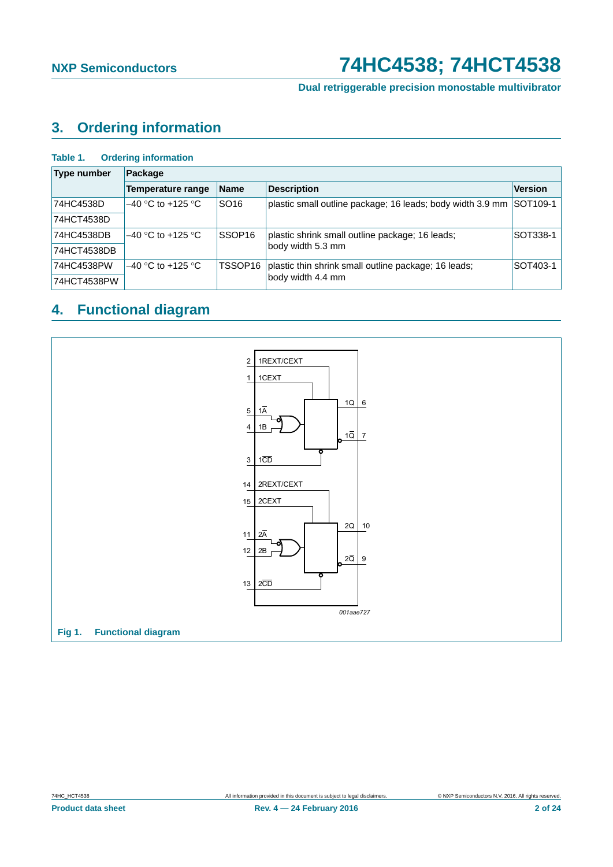**Dual retriggerable precision monostable multivibrator**

## <span id="page-1-0"></span>**3. Ordering information**

#### **Table 1. Ordering information**

| <b>Type number</b> | Package             |                    |                                                            |                |  |  |  |  |  |  |  |
|--------------------|---------------------|--------------------|------------------------------------------------------------|----------------|--|--|--|--|--|--|--|
|                    | Temperature range   | <b>Name</b>        | <b>Description</b>                                         | <b>Version</b> |  |  |  |  |  |  |  |
| 74HC4538D          | $-40$ °C to +125 °C | SO <sub>16</sub>   | plastic small outline package; 16 leads; body width 3.9 mm | SOT109-1       |  |  |  |  |  |  |  |
| 74HCT4538D         |                     |                    |                                                            |                |  |  |  |  |  |  |  |
| 74HC4538DB         | $-40$ °C to +125 °C | SSOP <sub>16</sub> | plastic shrink small outline package; 16 leads;            | SOT338-1       |  |  |  |  |  |  |  |
| 74HCT4538DB        |                     |                    | body width 5.3 mm                                          |                |  |  |  |  |  |  |  |
| 74HC4538PW         | $-40$ °C to +125 °C | TSSOP16            | plastic thin shrink small outline package; 16 leads;       | SOT403-1       |  |  |  |  |  |  |  |
| 74HCT4538PW        |                     |                    | body width 4.4 mm                                          |                |  |  |  |  |  |  |  |

# <span id="page-1-1"></span>**4. Functional diagram**

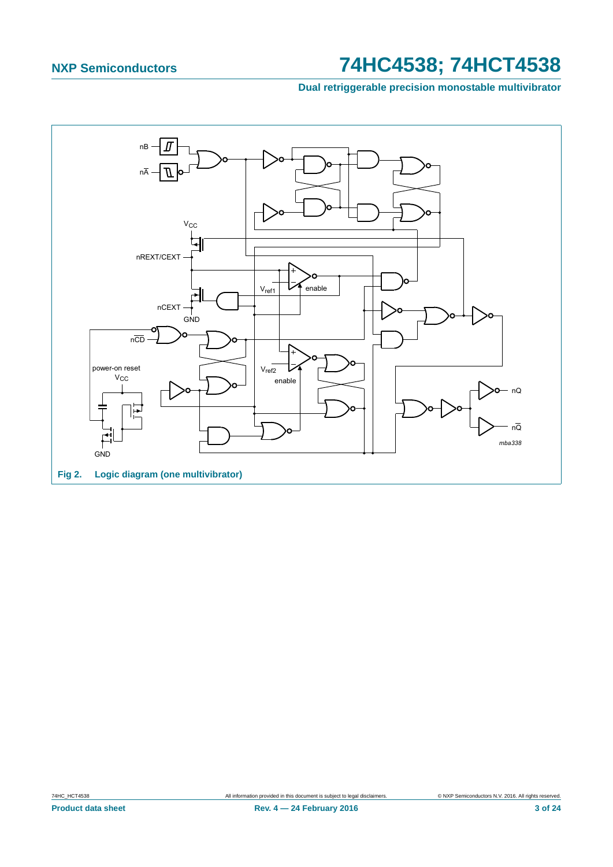Dual retriggerable precision monostable multivibrator

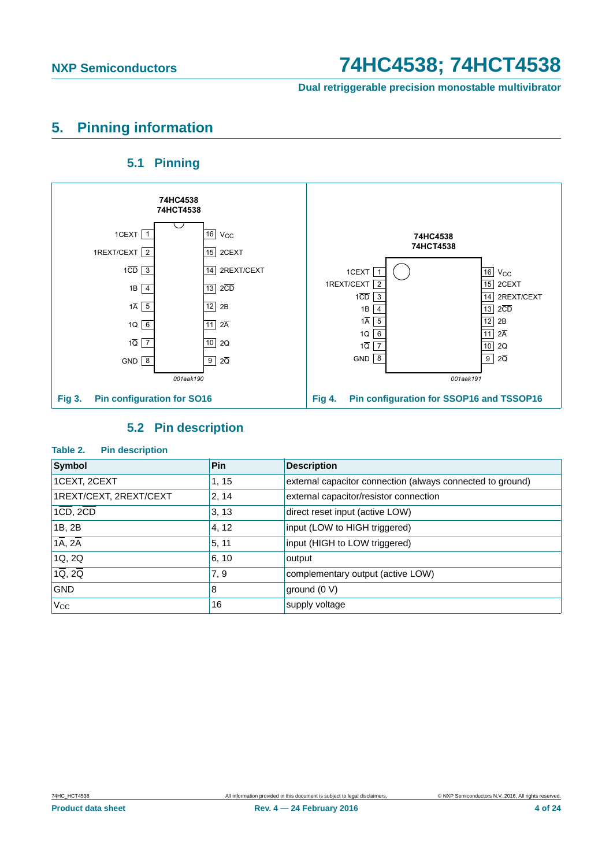**Dual retriggerable precision monostable multivibrator**

## <span id="page-3-0"></span>**5. Pinning information**

### **5.1 Pinning**

<span id="page-3-1"></span>

### **5.2 Pin description**

#### <span id="page-3-2"></span>**Table 2. Pin description**

| Symbol                            | Pin              | <b>Description</b>                                         |
|-----------------------------------|------------------|------------------------------------------------------------|
| 1CEXT, 2CEXT                      | 1, 15            | external capacitor connection (always connected to ground) |
| 1REXT/CEXT, 2REXT/CEXT            | 2, 14            | external capacitor/resistor connection                     |
| $1CD$ , $2CD$                     | 3, 13            | direct reset input (active LOW)                            |
| 1B, 2B                            | 4, 12            | input (LOW to HIGH triggered)                              |
| $1\overline{A}$ , $2\overline{A}$ | 5, 11            | input (HIGH to LOW triggered)                              |
| 1Q, 2Q                            | 6, 10            | output                                                     |
| $1\overline{Q}$ , $2\overline{Q}$ | $\overline{7,9}$ | complementary output (active LOW)                          |
| <b>GND</b>                        | 18               | ground (0 V)                                               |
| $V_{\rm CC}$                      | 16               | supply voltage                                             |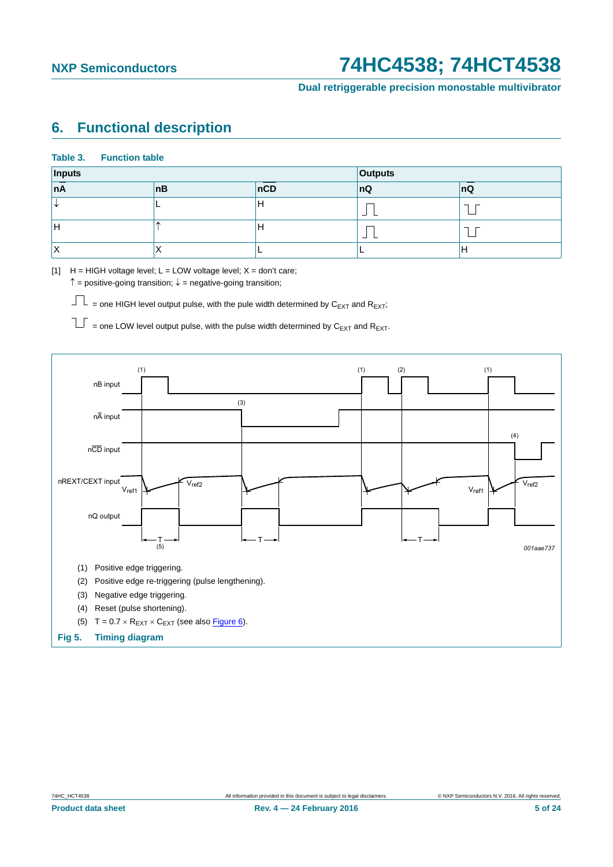**Dual retriggerable precision monostable multivibrator**

### <span id="page-4-0"></span>**6. Functional description**

#### **Table 3. Function table**

| Inputs |     | <b>Outputs</b> |             |    |  |  |
|--------|-----|----------------|-------------|----|--|--|
| nA     | ∣nB | nCD            | nQ          | nQ |  |  |
| N.     |     | IН             | <b>1979</b> |    |  |  |
| IH     |     | H              | المستقبل    |    |  |  |
| ΙX     |     |                | -           | Н  |  |  |

[1]  $H = HIGH$  voltage level;  $L = LOW$  voltage level;  $X = don't$  care;

 $\uparrow$  = positive-going transition;  $\downarrow$  = negative-going transition;

 $\Box$  = one HIGH level output pulse, with the pule width determined by C<sub>EXT</sub> and R<sub>EXT</sub>;

 $\overline{\bigcup}$  = one LOW level output pulse, with the pulse width determined by  $C_{EXT}$  and  $R_{EXT}$ .

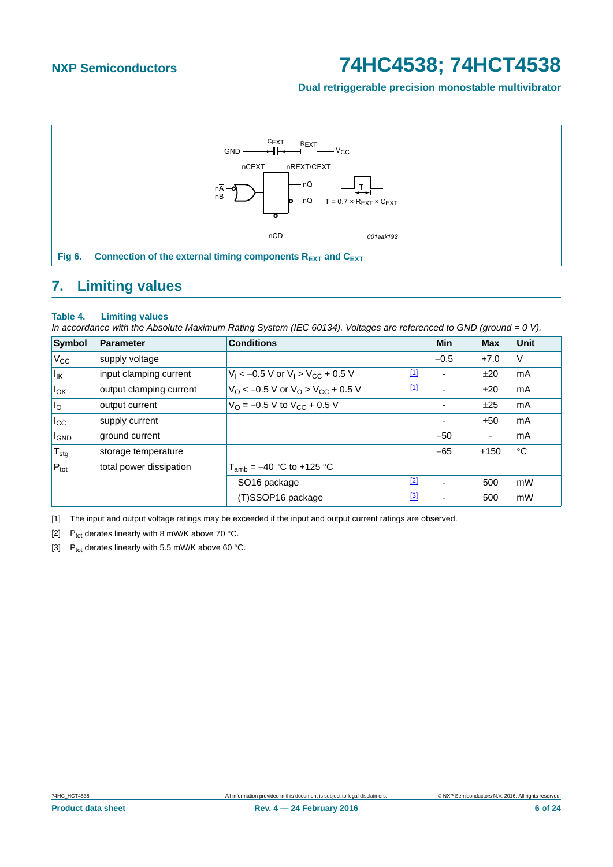#### **Dual retriggerable precision monostable multivibrator**



### <span id="page-5-4"></span><span id="page-5-0"></span>**7. Limiting values**

#### **Table 4. Limiting values**

*In accordance with the Absolute Maximum Rating System (IEC 60134). Voltages are referenced to GND (ground = 0 V).*

| <b>Symbol</b>                | <b>Parameter</b>        | <b>Conditions</b>                                                  |             | Min    | <b>Max</b>               | <b>Unit</b> |
|------------------------------|-------------------------|--------------------------------------------------------------------|-------------|--------|--------------------------|-------------|
| $V_{\rm CC}$                 | supply voltage          |                                                                    |             | $-0.5$ | $+7.0$                   | V           |
| $\vert I_{\mathsf{IK}}\vert$ | input clamping current  | $V_1$ < -0.5 V or $V_1$ > $V_{CC}$ + 0.5 V                         | $\boxed{1}$ |        | ±20                      | mA          |
| $I_{OK}$                     | output clamping current | $V_O$ < -0.5 V or $V_O$ > $V_{CC}$ + 0.5 V                         | $\boxed{1}$ |        | ±20                      | mA          |
| I <sub>O</sub>               | output current          | $V_{\text{O}} = -0.5 \text{ V}$ to $V_{\text{CC}} + 0.5 \text{ V}$ |             |        | ±25                      | mA          |
| $_{\rm lcc}$                 | supply current          |                                                                    |             |        | $+50$                    | mA          |
| <b>I</b> GND                 | ground current          |                                                                    |             | $-50$  | $\overline{\phantom{a}}$ | mA          |
| $T_{\text{stg}}$             | storage temperature     |                                                                    |             | $-65$  | $+150$                   | $^{\circ}C$ |
| $P_{\text{tot}}$             | total power dissipation | $T_{amb} = -40$ °C to +125 °C                                      |             |        |                          |             |
|                              |                         | SO <sub>16</sub> package                                           | $[2]$       |        | 500                      | mW          |
|                              |                         | (T)SSOP16 package                                                  | [3]         |        | 500                      | mW          |

<span id="page-5-1"></span>[1] The input and output voltage ratings may be exceeded if the input and output current ratings are observed.

<span id="page-5-3"></span>[2] P<sub>tot</sub> derates linearly with 8 mW/K above 70 °C.

<span id="page-5-2"></span>[3]  $P_{tot}$  derates linearly with 5.5 mW/K above 60 °C.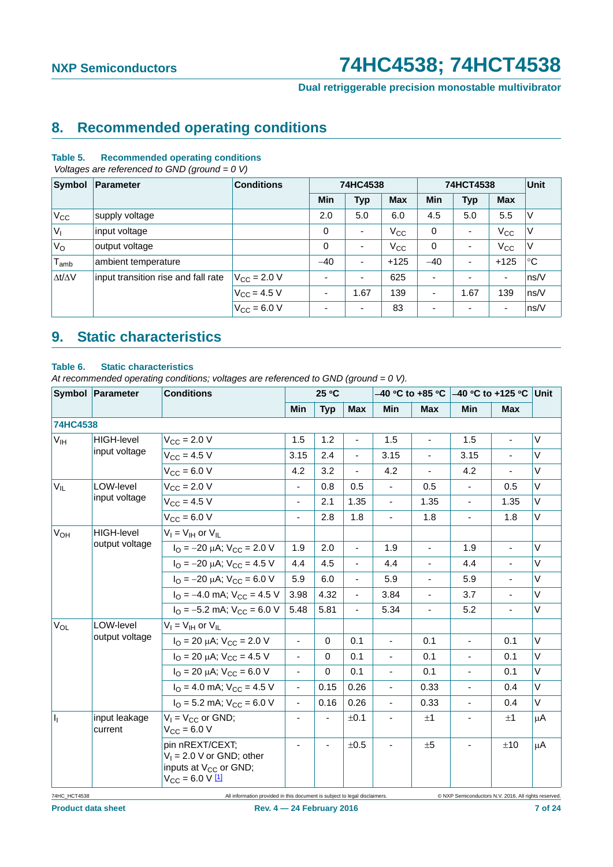**Dual retriggerable precision monostable multivibrator**

### <span id="page-6-0"></span>**8. Recommended operating conditions**

#### **Table 5. Recommended operating conditions**

 *Voltages are referenced to GND (ground = 0 V)*

| Symbol              | Parameter                           | <b>Conditions</b>    |             | 74HC4538                 |            |            | 74HCT4538                | <b>Unit</b>              |             |
|---------------------|-------------------------------------|----------------------|-------------|--------------------------|------------|------------|--------------------------|--------------------------|-------------|
|                     |                                     |                      | Min         | <b>Typ</b>               | <b>Max</b> | <b>Min</b> | <b>Typ</b>               | <b>Max</b>               |             |
| $V_{\rm CC}$        | supply voltage                      |                      | 2.0         | 5.0                      | 6.0        | 4.5        | 5.0                      | 5.5                      | ٧           |
| $V_{I}$             | input voltage                       |                      | $\mathbf 0$ | ٠                        | $V_{CC}$   | 0          | ٠                        | $V_{\rm CC}$             | V           |
| $V_{\rm O}$         | output voltage                      |                      | $\mathbf 0$ | ٠                        | $V_{CC}$   | 0          | ۰                        | $V_{\rm CC}$             | V           |
| $T_{amb}$           | ambient temperature                 |                      | $-40$       | $\overline{\phantom{a}}$ | $+125$     | $-40$      | ٠                        | $+125$                   | $^{\circ}C$ |
| $\Delta t/\Delta V$ | input transition rise and fall rate | $V_{\rm CC}$ = 2.0 V | ۰           | ٠                        | 625        |            | $\overline{\phantom{a}}$ | $\blacksquare$           | ns/V        |
|                     |                                     | $V_{\rm CC}$ = 4.5 V | ٠           | 1.67                     | 139        | ٠          | 1.67                     | 139                      | ns/V        |
|                     |                                     | $V_{CC} = 6.0 V$     | ۰           | ٠                        | 83         |            | $\overline{\phantom{a}}$ | $\overline{\phantom{a}}$ | ns/V        |

## <span id="page-6-1"></span>**9. Static characteristics**

#### **Table 6. Static characteristics**

*At recommended operating conditions; voltages are referenced to GND (ground = 0 V).*

|                           | Symbol Parameter<br>25 °C<br><b>Conditions</b> |                                                                                                                   |                |                              |                |                          |                |                |                          |         |
|---------------------------|------------------------------------------------|-------------------------------------------------------------------------------------------------------------------|----------------|------------------------------|----------------|--------------------------|----------------|----------------|--------------------------|---------|
|                           |                                                |                                                                                                                   | <b>Min</b>     | <b>Typ</b>                   | <b>Max</b>     | <b>Min</b>               | <b>Max</b>     | Min            | <b>Max</b>               |         |
| 74HC4538                  |                                                |                                                                                                                   |                |                              |                |                          |                |                |                          |         |
| $V_{\text{IH}}$           | HIGH-level                                     | $V_{\rm CC} = 2.0 V$                                                                                              | 1.5            | 1.2                          | $\blacksquare$ | 1.5                      | $\blacksquare$ | 1.5            | $\overline{a}$           | V       |
|                           | input voltage                                  | $V_{CC} = 4.5 V$                                                                                                  | 3.15           | 2.4                          |                | 3.15                     |                | 3.15           |                          | V       |
|                           |                                                | $V_{CC} = 6.0 V$                                                                                                  | 4.2            | 3.2                          |                | 4.2                      | $\blacksquare$ | 4.2            |                          | $\vee$  |
| $V_{IL}$                  | LOW-level                                      | $V_{CC} = 2.0 V$                                                                                                  | ä,             | 0.8                          | 0.5            |                          | 0.5            | ÷,             | 0.5                      | V       |
|                           | input voltage                                  | $V_{CC} = 4.5 V$                                                                                                  | ä,             | 2.1                          | 1.35           | $\blacksquare$           | 1.35           | $\overline{a}$ | 1.35                     | V       |
|                           |                                                | $V_{CC}$ = 6.0 V                                                                                                  | $\blacksquare$ | 2.8                          | 1.8            | $\blacksquare$           | 1.8            | ä,             | 1.8                      | V       |
| $V_{OH}$                  | <b>HIGH-level</b>                              | $V_I = V_{IH}$ or $V_{IL}$                                                                                        |                |                              |                |                          |                |                |                          |         |
|                           | output voltage                                 | $I_{\text{O}} = -20 \mu\text{A}$ ; $V_{\text{CC}} = 2.0 \text{ V}$                                                | 1.9            | 2.0                          | $\blacksquare$ | 1.9                      | ÷,             | 1.9            | ÷,                       | V       |
|                           |                                                | $I_{\Omega}$ = -20 µA; $V_{\text{CC}}$ = 4.5 V                                                                    | 4.4            | 4.5                          |                | 4.4                      | L,             | 4.4            |                          | V       |
|                           |                                                | $I_{\text{O}} = -20 \mu\text{A}$ ; $V_{\text{CC}} = 6.0 \text{ V}$                                                | 5.9            | 6.0                          | $\blacksquare$ | 5.9                      | $\blacksquare$ | 5.9            | $\overline{\phantom{a}}$ | V       |
|                           |                                                | $I_{\text{O}} = -4.0 \text{ mA}$ ; $V_{\text{CC}} = 4.5 \text{ V}$                                                | 3.98           | 4.32                         |                | 3.84                     |                | 3.7            |                          | V       |
|                           |                                                | $I_{\text{O}} = -5.2 \text{ mA}$ ; $V_{\text{CC}} = 6.0 \text{ V}$                                                | 5.48           | 5.81                         | $\blacksquare$ | 5.34                     | $\overline{a}$ | 5.2            | ä,                       | V       |
| $V_{OL}$                  | LOW-level                                      | $V_I = V_{IH}$ or $V_{II}$                                                                                        |                |                              |                |                          |                |                |                          |         |
|                           | output voltage                                 | $I_{\Omega}$ = 20 µA; $V_{\text{CC}}$ = 2.0 V                                                                     | $\blacksquare$ | $\mathbf 0$                  | 0.1            | ÷,                       | 0.1            | ÷,             | 0.1                      | V       |
|                           |                                                | $I_{\text{O}}$ = 20 µA; $V_{\text{CC}}$ = 4.5 V                                                                   | $\blacksquare$ | $\mathbf 0$                  | 0.1            | $\blacksquare$           | 0.1            | $\blacksquare$ | 0.1                      | V       |
|                           |                                                | $I_{\text{O}}$ = 20 µA; $V_{\text{CC}}$ = 6.0 V                                                                   | $\blacksquare$ | 0                            | 0.1            |                          | 0.1            | ä,             | 0.1                      | V       |
|                           |                                                | $I_{\text{O}}$ = 4.0 mA; $V_{\text{CC}}$ = 4.5 V                                                                  | $\blacksquare$ | 0.15                         | 0.26           |                          | 0.33           | L,             | 0.4                      | $\vee$  |
|                           |                                                | $I_{\text{O}} = 5.2 \text{ mA}$ ; $V_{\text{CC}} = 6.0 \text{ V}$                                                 | $\blacksquare$ | 0.16                         | 0.26           | $\overline{\phantom{0}}$ | 0.33           | ä,             | 0.4                      | $\vee$  |
| $\mathbf{I}_{\mathrm{L}}$ | input leakage<br>current                       | $V_1 = V_{CC}$ or GND;<br>$V_{CC} = 6.0 V$                                                                        | L,             |                              | ±0.1           |                          | ±1             |                | ±1                       | μA      |
|                           |                                                | pin nREXT/CEXT;<br>$V_1 = 2.0 V$ or GND; other<br>inputs at V <sub>CC</sub> or GND;<br>$V_{\text{CC}} = 6.0 V 11$ | ä,             | $\qquad \qquad \blacksquare$ | ±0.5           |                          | ±5             | ÷.             | ±10                      | $\mu$ A |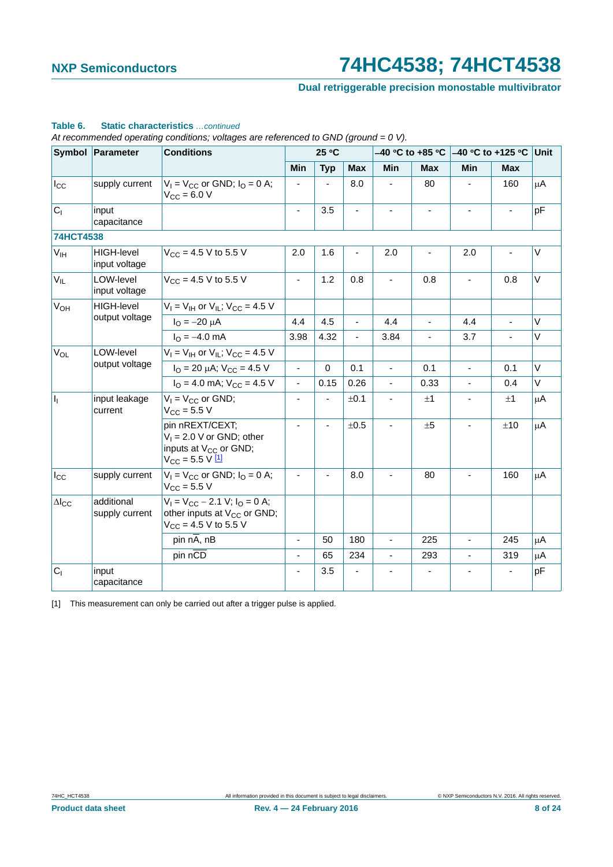### **Dual retriggerable precision monostable multivibrator**

|                           | Symbol Parameter                   | <b>Conditions</b>                                                                                            |                          | 25 °C       |            |                |                          |                              | –40 °C to +85 °C  –40 °C to +125 °C | Unit    |
|---------------------------|------------------------------------|--------------------------------------------------------------------------------------------------------------|--------------------------|-------------|------------|----------------|--------------------------|------------------------------|-------------------------------------|---------|
|                           |                                    |                                                                                                              | Min                      | <b>Typ</b>  | <b>Max</b> | <b>Min</b>     | <b>Max</b>               | Min                          | <b>Max</b>                          |         |
| $I_{\rm CC}$              | supply current                     | $V_1 = V_{CC}$ or GND; $I_0 = 0$ A;<br>$V_{\rm CC} = 6.0 V$                                                  |                          |             | 8.0        |                | 80                       | $\overline{\phantom{a}}$     | 160                                 | $\mu$ A |
| C <sub>1</sub>            | input<br>capacitance               |                                                                                                              | $\overline{\phantom{a}}$ | 3.5         |            |                |                          |                              |                                     | pF      |
| 74HCT4538                 |                                    |                                                                                                              |                          |             |            |                |                          |                              |                                     |         |
| V <sub>IH</sub>           | <b>HIGH-level</b><br>input voltage | $V_{CC}$ = 4.5 V to 5.5 V                                                                                    | 2.0                      | 1.6         |            | 2.0            |                          | 2.0                          |                                     | V       |
| $V_{IL}$                  | LOW-level<br>input voltage         | $V_{CC}$ = 4.5 V to 5.5 V                                                                                    | $\overline{\phantom{a}}$ | 1.2         | 0.8        |                | 0.8                      | $\blacksquare$               | 0.8                                 | V       |
| <b>V<sub>OH</sub></b>     | <b>HIGH-level</b>                  | $V_1 = V_{1H}$ or $V_{1L}$ ; $V_{CC} = 4.5$ V                                                                |                          |             |            |                |                          |                              |                                     |         |
|                           | output voltage                     | $I_{\text{O}} = -20 \mu A$                                                                                   | 4.4                      | 4.5         | ٠          | 4.4            | $\blacksquare$           | 4.4                          | $\blacksquare$                      | V       |
|                           |                                    | $I_{\Omega} = -4.0$ mA                                                                                       | 3.98                     | 4.32        |            | 3.84           |                          | 3.7                          |                                     | V       |
| $V_{OL}$                  | LOW-level                          | $V_1 = V_{1H}$ or $V_{1L}$ ; $V_{CC} = 4.5$ V                                                                |                          |             |            |                |                          |                              |                                     |         |
|                           | output voltage                     | $I_{\text{O}}$ = 20 µA; $V_{\text{CC}}$ = 4.5 V                                                              | $\blacksquare$           | $\mathbf 0$ | 0.1        |                | 0.1                      | $\blacksquare$               | 0.1                                 | $\vee$  |
|                           |                                    | $I_{\Omega}$ = 4.0 mA; $V_{\text{CC}}$ = 4.5 V                                                               | ÷,                       | 0.15        | 0.26       | $\blacksquare$ | 0.33                     | $\blacksquare$               | 0.4                                 | V       |
| $\mathbf{I}_{\mathbf{I}}$ | input leakage<br>current           | $V_1 = V_{CC}$ or GND;<br>$V_{\text{CC}} = 5.5 V$                                                            | ÷,                       |             | ±0.1       |                | ±1                       | $\qquad \qquad \blacksquare$ | ±1                                  | uA      |
|                           |                                    | pin nREXT/CEXT;<br>$V_1 = 2.0$ V or GND; other<br>inputs at V <sub>CC</sub> or GND;<br>$V_{CC}$ = 5.5 V $11$ | ä,                       | ÷,          | ±0.5       |                | ±5                       | $\blacksquare$               | ±10                                 | $\mu$ A |
| $I_{\rm CC}$              | supply current                     | $V_1 = V_{CC}$ or GND; $I_Q = 0$ A;<br>$V_{\text{CC}} = 5.5 V$                                               | $\blacksquare$           | ÷,          | 8.0        |                | 80                       | $\blacksquare$               | 160                                 | $\mu$ A |
| $\Delta I_{CC}$           | additional<br>supply current       | $V_1 = V_{CC} - 2.1$ V; $I_Q = 0$ A;<br>other inputs at V <sub>CC</sub> or GND;<br>$V_{CC}$ = 4.5 V to 5.5 V |                          |             |            |                |                          |                              |                                     |         |
|                           |                                    | pin nA, nB                                                                                                   | $\overline{\phantom{a}}$ | 50          | 180        | $\blacksquare$ | 225                      | $\blacksquare$               | 245                                 | μA      |
|                           |                                    | pin nCD                                                                                                      | ÷,                       | 65          | 234        |                | 293                      | $\mathbf{r}$                 | 319                                 | μA      |
| C <sub>1</sub>            | input<br>capacitance               |                                                                                                              | ä,                       | 3.5         |            |                | $\overline{\phantom{a}}$ | $\blacksquare$               | $\overline{\phantom{0}}$            | рF      |

#### **Table 6. Static characteristics** *…continued*

*At recommended operating conditions; voltages are referenced to GND (ground = 0 V).*

<span id="page-7-0"></span>[1] This measurement can only be carried out after a trigger pulse is applied.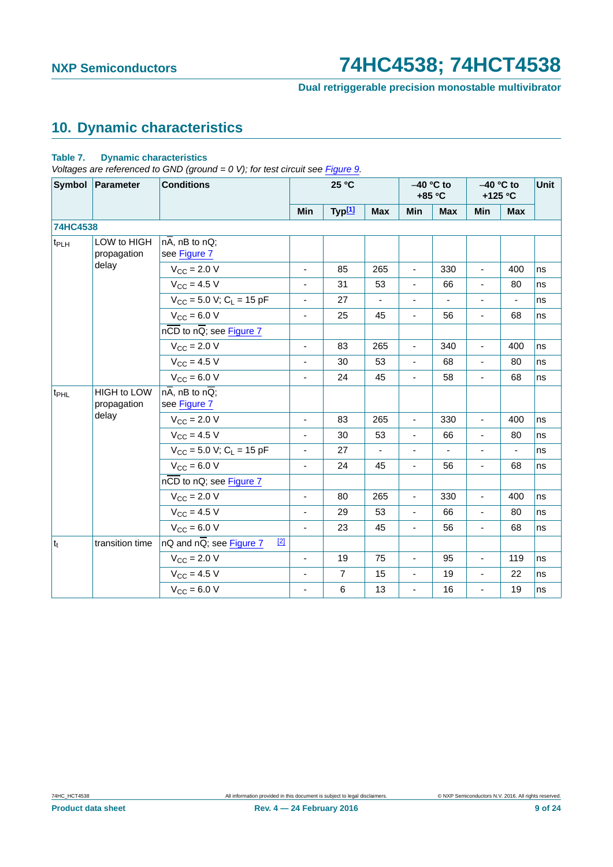**Dual retriggerable precision monostable multivibrator**

## <span id="page-8-0"></span>**10. Dynamic characteristics**

#### **Table 7. Dynamic characteristics**

*Voltages are referenced to GND (ground = 0 V); for test circuit see [Figure 9](#page-13-0).*

|                  | Symbol Parameter                  | <b>Conditions</b>                                         |                          | 25 °C              |                          |                          | $-40$ °C to<br>+85 °C | $-40$ °C to<br>+125 °C       |            | Unit |
|------------------|-----------------------------------|-----------------------------------------------------------|--------------------------|--------------------|--------------------------|--------------------------|-----------------------|------------------------------|------------|------|
|                  |                                   |                                                           | <b>Min</b>               | Typ <sup>[1]</sup> | <b>Max</b>               | Min                      | <b>Max</b>            | Min                          | <b>Max</b> |      |
| 74HC4538         |                                   |                                                           |                          |                    |                          |                          |                       |                              |            |      |
| t <sub>PLH</sub> | LOW to HIGH<br>propagation        | $n\overline{A}$ , nB to nQ;<br>see Figure 7               |                          |                    |                          |                          |                       |                              |            |      |
|                  | delay                             | $V_{\text{CC}} = 2.0 V$                                   | $\blacksquare$           | 85                 | 265                      | $\blacksquare$           | 330                   | $\blacksquare$               | 400        | ns   |
|                  |                                   | $V_{CC}$ = 4.5 V                                          | $\blacksquare$           | 31                 | 53                       | $\overline{\phantom{a}}$ | 66                    | $\blacksquare$               | 80         | ns   |
|                  |                                   | $V_{CC}$ = 5.0 V; C <sub>L</sub> = 15 pF                  | ä,                       | 27                 | $\overline{\phantom{a}}$ | $\blacksquare$           | $\blacksquare$        | $\qquad \qquad \blacksquare$ | ä,         | ns   |
|                  |                                   | $V_{\text{CC}} = 6.0 V$                                   | $\blacksquare$           | 25                 | 45                       | $\blacksquare$           | 56                    | ä,                           | 68         | ns   |
|                  |                                   | $n\overline{CD}$ to $n\overline{Q}$ ; see Figure 7        |                          |                    |                          |                          |                       |                              |            |      |
|                  |                                   | $V_{\text{CC}}$ = 2.0 V                                   | ÷,                       | 83                 | 265                      | $\blacksquare$           | 340                   | $\blacksquare$               | 400        | ns   |
|                  |                                   | $V_{\text{CC}} = 4.5 V$                                   | $\blacksquare$           | 30                 | 53                       | $\blacksquare$           | 68                    | ä,                           | 80         | ns   |
|                  |                                   | $V_{CC}$ = 6.0 V                                          | ÷,                       | 24                 | 45                       | $\blacksquare$           | 58                    | ä,                           | 68         | ns   |
| t <sub>PHL</sub> | <b>HIGH to LOW</b><br>propagation | $n\overline{A}$ , nB to $n\overline{Q}$ ;<br>see Figure 7 |                          |                    |                          |                          |                       |                              |            |      |
|                  | delay                             | $V_{CC}$ = 2.0 V                                          | $\blacksquare$           | 83                 | 265                      | $\blacksquare$           | 330                   | ä,                           | 400        | ns   |
|                  |                                   | $V_{\text{CC}} = 4.5 V$                                   | ÷,                       | 30                 | 53                       | $\blacksquare$           | 66                    | ÷,                           | 80         | ns   |
|                  |                                   | $V_{CC}$ = 5.0 V; C <sub>L</sub> = 15 pF                  | ÷,                       | 27                 | $\blacksquare$           | $\mathbf{r}$             | $\blacksquare$        | ÷,                           | ÷,         | ns   |
|                  |                                   | $V_{CC} = 6.0 V$                                          | $\blacksquare$           | 24                 | 45                       | $\overline{\phantom{a}}$ | 56                    | $\blacksquare$               | 68         | ns   |
|                  |                                   | nCD to nQ; see Figure 7                                   |                          |                    |                          |                          |                       |                              |            |      |
|                  |                                   | $V_{\text{CC}} = 2.0 V$                                   | ÷,                       | 80                 | 265                      | $\blacksquare$           | 330                   | ÷,                           | 400        | ns   |
|                  |                                   | $V_{CC}$ = 4.5 V                                          | $\overline{\phantom{a}}$ | 29                 | 53                       | $\blacksquare$           | 66                    | ÷,                           | 80         | ns   |
|                  |                                   | $V_{CC} = 6.0 V$                                          | $\overline{\phantom{a}}$ | 23                 | 45                       | $\overline{\phantom{a}}$ | 56                    | $\blacksquare$               | 68         | ns   |
| $ t_t $          | transition time                   | $nQ$ and $nQ$ ; see Figure 7<br>$[2]$                     |                          |                    |                          |                          |                       |                              |            |      |
|                  |                                   | $V_{\text{CC}} = 2.0 V$                                   | ÷.                       | 19                 | 75                       | ÷.                       | 95                    | $\frac{1}{2}$                | 119        | ns   |
|                  |                                   | $V_{CC} = 4.5 V$                                          | $\overline{\phantom{a}}$ | $\overline{7}$     | 15                       | $\blacksquare$           | 19                    | $\blacksquare$               | 22         | ns   |
|                  |                                   | $V_{CC}$ = 6.0 V                                          | ä,                       | 6                  | 13                       | ÷,                       | 16                    | ÷,                           | 19         | ns   |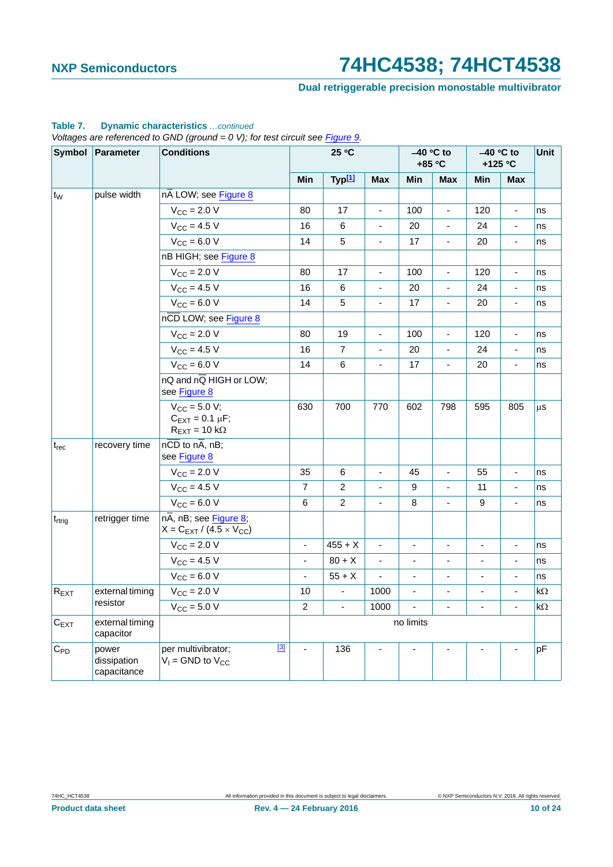### **Dual retriggerable precision monostable multivibrator**

|                    | Symbol Parameter                    | <b>Conditions</b>                                                                    |                | 25 °C              |                              |                          | $-40$ °C to<br>+85 °C    |                          | $-40$ °C to<br>+125 °C       | Unit |
|--------------------|-------------------------------------|--------------------------------------------------------------------------------------|----------------|--------------------|------------------------------|--------------------------|--------------------------|--------------------------|------------------------------|------|
|                    |                                     |                                                                                      | Min            | Typ <sup>[1]</sup> | <b>Max</b>                   | Min                      | <b>Max</b>               | Min                      | <b>Max</b>                   |      |
| $ t_W $            | pulse width                         | nA LOW; see Figure 8                                                                 |                |                    |                              |                          |                          |                          |                              |      |
|                    |                                     | $V_{\text{CC}}$ = 2.0 V                                                              | 80             | 17                 |                              | 100                      |                          | 120                      |                              | ns   |
|                    |                                     | $V_{CC} = 4.5 V$                                                                     | 16             | 6                  |                              | 20                       |                          | 24                       | ÷,                           | ns   |
|                    |                                     | $V_{CC}$ = 6.0 V                                                                     | 14             | 5                  | $\blacksquare$               | 17                       | $\overline{\phantom{a}}$ | 20                       | $\qquad \qquad \blacksquare$ | ns   |
|                    |                                     | nB HIGH; see Figure 8                                                                |                |                    |                              |                          |                          |                          |                              |      |
|                    |                                     | $V_{CC}$ = 2.0 V                                                                     | 80             | 17                 | $\blacksquare$               | 100                      | $\blacksquare$           | 120                      | $\blacksquare$               | ns   |
|                    |                                     | $V_{CC} = 4.5 V$                                                                     | 16             | 6                  | ÷,                           | 20                       | ÷,                       | 24                       | ÷,                           | ns   |
|                    |                                     | $V_{CC}$ = 6.0 V                                                                     | 14             | 5                  | $\blacksquare$               | 17                       | $\blacksquare$           | 20                       | ÷,                           | ns   |
|                    |                                     | nCD LOW; see Figure 8                                                                |                |                    |                              |                          |                          |                          |                              |      |
|                    |                                     | $V_{\text{CC}} = 2.0 V$                                                              | 80             | 19                 | $\blacksquare$               | 100                      | $\blacksquare$           | 120                      | $\blacksquare$               | ns   |
|                    |                                     | $V_{CC}$ = 4.5 V                                                                     | 16             | $\overline{7}$     | $\qquad \qquad \blacksquare$ | 20                       | $\overline{\phantom{a}}$ | 24                       | $\overline{\phantom{a}}$     | ns   |
|                    |                                     | $V_{CC} = 6.0 V$                                                                     | 14             | $\,6$              | ä,                           | 17                       | $\overline{\phantom{a}}$ | 20                       | $\blacksquare$               | ns   |
|                    |                                     | $nQ$ and $n\overline{Q}$ HIGH or LOW;<br>see Figure 8                                |                |                    |                              |                          |                          |                          |                              |      |
|                    |                                     | $V_{CC} = 5.0 V;$<br>$C_{EXT} = 0.1 \mu F;$<br>$R_{\text{EXT}} = 10 \text{ k}\Omega$ | 630            | 700                | 770                          | 602                      | 798                      | 595                      | 805                          | μS   |
| $t_{rec}$          | recovery time                       | $n\overline{CD}$ to $n\overline{A}$ , $nB$ ;<br>see Figure 8                         |                |                    |                              |                          |                          |                          |                              |      |
|                    |                                     | $V_{CC} = 2.0 V$                                                                     | 35             | 6                  | $\blacksquare$               | 45                       | $\blacksquare$           | 55                       | $\blacksquare$               | ns   |
|                    |                                     | $V_{\text{CC}} = 4.5$ V                                                              | $\overline{7}$ | $\overline{c}$     | ÷,                           | 9                        | $\blacksquare$           | 11                       | $\blacksquare$               | ns   |
|                    |                                     | $V_{CC}$ = 6.0 V                                                                     | 6              | $\overline{c}$     | ÷,                           | 8                        | $\blacksquare$           | 9                        | $\blacksquare$               | ns   |
| t <sub>rtrig</sub> | retrigger time                      | $n\overline{A}$ , nB; see Figure 8;<br>$X = C_{EXT} / (4.5 \times V_{CC})$           |                |                    |                              |                          |                          |                          |                              |      |
|                    |                                     | $V_{CC}$ = 2.0 V                                                                     | $\blacksquare$ | $455 + X$          | $\blacksquare$               | $\blacksquare$           | $\overline{\phantom{a}}$ | $\overline{\phantom{a}}$ | $\blacksquare$               | ns   |
|                    |                                     | $V_{\rm CC} = 4.5 V$                                                                 | $\blacksquare$ | $80 + X$           | $\blacksquare$               | $\overline{\phantom{a}}$ | $\overline{\phantom{a}}$ | $\overline{\phantom{a}}$ | $\overline{\phantom{a}}$     | ns   |
|                    |                                     | $V_{CC} = 6.0 V$                                                                     | $\omega$       | $55 + X$           | $\overline{\phantom{a}}$     | $\blacksquare$           | ÷,                       | ä,                       | ä,                           | ns   |
| $R_{EXT}$          | external timing                     | $V_{\text{CC}} = 2.0 V$                                                              | 10             | L.                 | 1000                         |                          |                          | $\overline{\phantom{a}}$ | $\blacksquare$               | kΩ   |
|                    | resistor                            | $V_{\text{CC}}$ = 5.0 V                                                              | $\overline{2}$ | $\blacksquare$     | 1000                         | $\blacksquare$           | ä,                       | $\blacksquare$           | ÷,                           | kΩ   |
| $C_{EXT}$          | external timing<br>capacitor        |                                                                                      |                |                    |                              | no limits                |                          |                          |                              |      |
| $C_{PD}$           | power<br>dissipation<br>capacitance | $[3]$<br>per multivibrator;<br>$V_1$ = GND to $V_{CC}$                               | $\sim$         | 136                |                              |                          |                          |                          |                              | pF   |

#### **Table 7. Dynamic characteristics** *…continued*

*Voltages are referenced to GND (ground = 0 V); for test circuit see Figure 9.*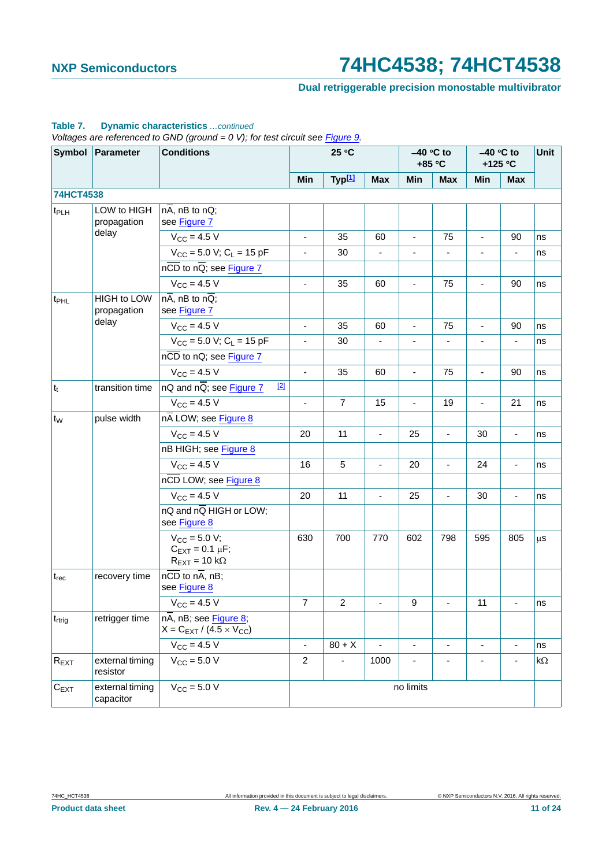### **Dual retriggerable precision monostable multivibrator**

|                    | Symbol Parameter                  | vollages are relevenced to GND (ground = 0 v), for lest circuit see <u>Figure 9</u> .<br><b>Conditions</b> |                          | 25 °C              |                |                          | $-40$ °C to<br>+85 °C |                          | $-40$ °C to<br>+125 °C   | Unit       |
|--------------------|-----------------------------------|------------------------------------------------------------------------------------------------------------|--------------------------|--------------------|----------------|--------------------------|-----------------------|--------------------------|--------------------------|------------|
|                    |                                   |                                                                                                            | Min                      | Typ <sup>[1]</sup> | <b>Max</b>     | Min                      | <b>Max</b>            | Min                      | <b>Max</b>               |            |
| 74HCT4538          |                                   |                                                                                                            |                          |                    |                |                          |                       |                          |                          |            |
| t <sub>PLH</sub>   | LOW to HIGH<br>propagation        | $n\overline{A}$ , nB to nQ;<br>see Figure 7                                                                |                          |                    |                |                          |                       |                          |                          |            |
|                    | delay                             | $V_{CC}$ = 4.5 V                                                                                           | $\blacksquare$           | 35                 | 60             | ä,                       | 75                    |                          | 90                       | ns         |
|                    |                                   | $V_{CC}$ = 5.0 V; C <sub>L</sub> = 15 pF                                                                   | $\overline{\phantom{a}}$ | 30                 | $\blacksquare$ | $\overline{\phantom{a}}$ | ä,                    | $\overline{\phantom{a}}$ | $\overline{\phantom{a}}$ | ns         |
|                    |                                   | $n\overline{CD}$ to $n\overline{Q}$ ; see Figure 7                                                         |                          |                    |                |                          |                       |                          |                          |            |
|                    |                                   | $V_{CC}$ = 4.5 V                                                                                           | $\blacksquare$           | 35                 | 60             | $\overline{\phantom{a}}$ | 75                    | $\overline{\phantom{a}}$ | 90                       | ns         |
| t <sub>PHL</sub>   | <b>HIGH to LOW</b><br>propagation | $n\overline{A}$ , nB to $n\overline{Q}$ ;<br>see Figure 7                                                  |                          |                    |                |                          |                       |                          |                          |            |
|                    | delay                             | $V_{\rm CC} = 4.5 V$                                                                                       | $\blacksquare$           | 35                 | 60             | $\blacksquare$           | 75                    | ä,                       | 90                       | ns         |
|                    |                                   | $V_{CC}$ = 5.0 V; C <sub>L</sub> = 15 pF                                                                   | ÷,                       | 30                 |                |                          |                       |                          | ÷,                       | ns         |
|                    |                                   | nCD to nQ; see Figure 7                                                                                    |                          |                    |                |                          |                       |                          |                          |            |
|                    |                                   | $V_{CC}$ = 4.5 V                                                                                           | ÷,                       | 35                 | 60             | ä,                       | 75                    | $\bar{\phantom{a}}$      | 90                       | ns         |
| $ t_t $            | transition time                   | $[2]$<br>nQ and $n\overline{Q}$ ; see Figure 7                                                             |                          |                    |                |                          |                       |                          |                          |            |
|                    |                                   | $V_{CC} = 4.5 V$                                                                                           | ä,                       | $\overline{7}$     | 15             | ä,                       | 19                    | ä,                       | 21                       | ns         |
| t <sub>w</sub>     | pulse width                       | nA LOW; see Figure 8                                                                                       |                          |                    |                |                          |                       |                          |                          |            |
|                    |                                   | $V_{CC}$ = 4.5 V                                                                                           | 20                       | 11                 | ÷,             | 25                       | Ξ                     | 30                       | $\blacksquare$           | ns         |
|                    |                                   | nB HIGH; see Figure 8                                                                                      |                          |                    |                |                          |                       |                          |                          |            |
|                    |                                   | $V_{CC}$ = 4.5 V                                                                                           | 16                       | 5                  | ÷,             | 20                       | $\overline{a}$        | 24                       | ä,                       | ns         |
|                    |                                   | nCD LOW; see Figure 8                                                                                      |                          |                    |                |                          |                       |                          |                          |            |
|                    |                                   | $V_{CC} = 4.5 V$                                                                                           | 20                       | 11                 | $\blacksquare$ | 25                       | ä,                    | 30                       | $\blacksquare$           | ns         |
|                    |                                   | nQ and nQ HIGH or LOW;<br>see Figure 8                                                                     |                          |                    |                |                          |                       |                          |                          |            |
|                    |                                   | $V_{CC} = 5.0 V;$<br>$C_{\text{EXT}} = 0.1 \mu F$ ;<br>$R_{\text{EXT}} = 10 \text{ k}\Omega$               | 630                      | 700                | 770            | 602                      | 798                   | 595                      | 805                      | $\mu$ s    |
| $t_{rec}$          | recovery time                     | $n\overline{CD}$ to $n\overline{A}$ , nB;<br>see Figure 8                                                  |                          |                    |                |                          |                       |                          |                          |            |
|                    |                                   | $V_{CC} = 4.5 V$                                                                                           | 7                        | 2                  |                | 9                        |                       | 11                       |                          | ns         |
| t <sub>rtrig</sub> | retrigger time                    | $n\overline{A}$ , nB; see Figure 8;<br>$X = C_{EXT} / (4.5 \times V_{CC})$                                 |                          |                    |                |                          |                       |                          |                          |            |
|                    |                                   | $V_{\text{CC}} = 4.5 V$                                                                                    |                          | $80 + X$           |                |                          | $\overline{a}$        |                          |                          | ns         |
| $R_{EXT}$          | external timing<br>resistor       | $V_{\text{CC}}$ = 5.0 V                                                                                    | $\overline{c}$           | ٠                  | 1000           | ٠                        | $\overline{a}$        | $\overline{a}$           |                          | k $\Omega$ |
| $C_{EXT}$          | external timing<br>capacitor      | $V_{CC}$ = 5.0 V                                                                                           |                          |                    |                | no limits                |                       |                          |                          |            |

#### **Table 7. Dynamic characteristics** *…continued*

*Voltages are referenced to GND (ground = 0 V); for test circuit see Figure 9.*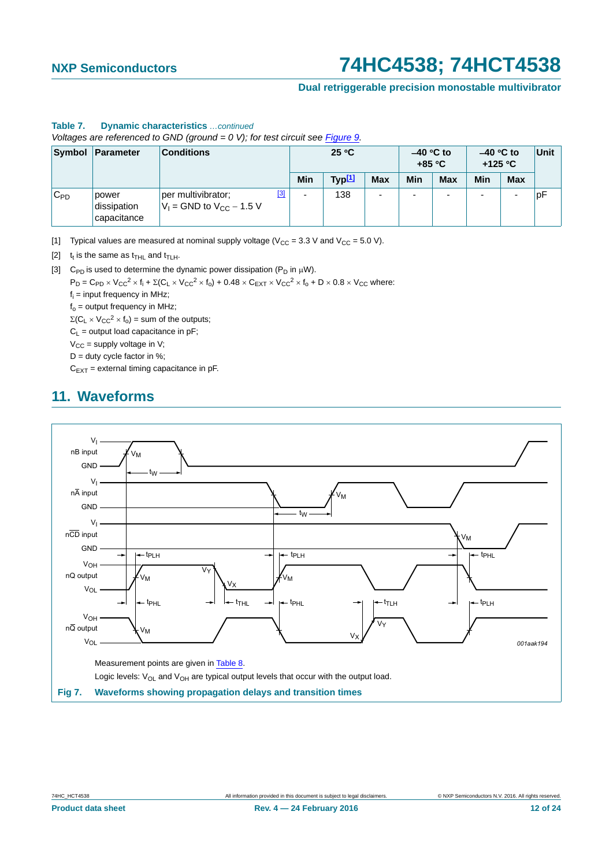#### **Dual retriggerable precision monostable multivibrator**

#### **Table 7. Dynamic characteristics** *…continued*

*Voltages are referenced to GND (ground = 0 V); for test circuit see Figure 9.*

|          | Symbol Parameter                    | <b>Conditions</b>                                              |     | 25 °C              |            | $-40$ °C to<br>$+85 °C$  |                          | $-40$ °C to<br>+125 $\degree$ C |            | Unit |
|----------|-------------------------------------|----------------------------------------------------------------|-----|--------------------|------------|--------------------------|--------------------------|---------------------------------|------------|------|
|          |                                     |                                                                | Min | Typ <sup>[1]</sup> | <b>Max</b> | Min                      | <b>Max</b>               | Min                             | <b>Max</b> |      |
| $C_{PD}$ | power<br>dissipation<br>capacitance | $[3]$<br>per multivibrator;<br>$V_1$ = GND to $V_{CC}$ – 1.5 V | -   | 138                | -          | $\overline{\phantom{0}}$ | $\overline{\phantom{a}}$ |                                 |            | pF   |

<span id="page-11-0"></span>[1] Typical values are measured at nominal supply voltage ( $V_{CC}$  = 3.3 V and  $V_{CC}$  = 5.0 V).

<span id="page-11-2"></span>[2]  $t_t$  is the same as  $t_{\text{THL}}$  and  $t_{\text{TLH}}$ .

<span id="page-11-3"></span>[3] C<sub>PD</sub> is used to determine the dynamic power dissipation ( $P_D$  in  $\mu$ W).

 $P_D = C_{PD} \times V_{CC}^2 \times f_i + \Sigma (C_L \times V_{CC}^2 \times f_0) + 0.48 \times C_{EXT} \times V_{CC}^2 \times f_0 + D \times 0.8 \times V_{CC}$  where:

 $f_i$  = input frequency in MHz;

 $f_0$  = output frequency in MHz;

 $\Sigma(C_L \times V_{CC}^2 \times f_0)$  = sum of the outputs;

 $C_L$  = output load capacitance in pF;

 $V_{CC}$  = supply voltage in V;

 $D =$  duty cycle factor in %:

 $C_{EXT}$  = external timing capacitance in pF.

### <span id="page-11-4"></span>**11. Waveforms**



<span id="page-11-1"></span>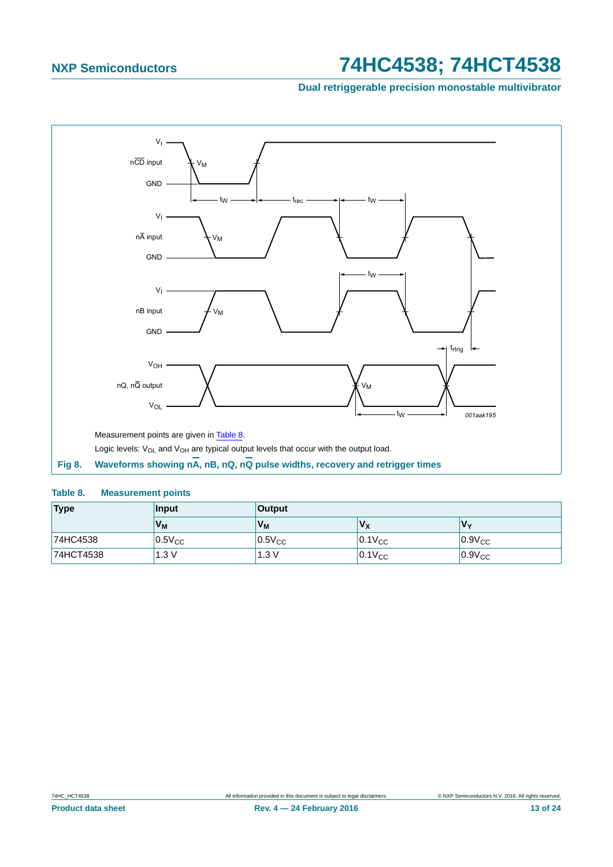**Dual retriggerable precision monostable multivibrator**



#### <span id="page-12-1"></span><span id="page-12-0"></span>**Table 8. Measurement points**

| Type      | <b>Input</b>   | <b>Output</b> |             |             |
|-----------|----------------|---------------|-------------|-------------|
|           | V <sub>M</sub> | $V_{M}$       | $V_{\rm X}$ | V٧          |
| 74HC4538  | $0.5V_{CC}$    | $0.5V_{CC}$   | $0.1V_{CC}$ | $0.9V_{CC}$ |
| 74HCT4538 | 1.3 V          | 1.3V          | $0.1V_{CC}$ | $0.9V_{CC}$ |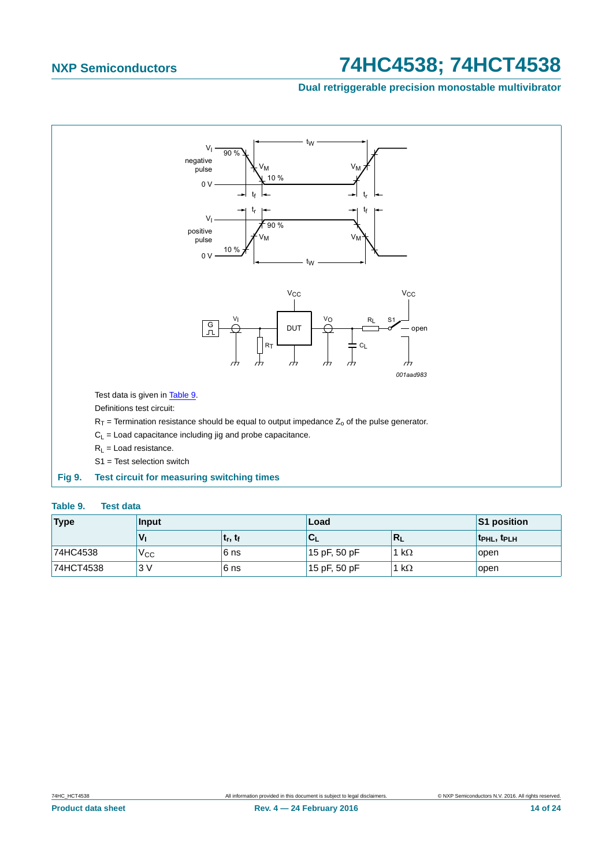#### **Dual retriggerable precision monostable multivibrator**



#### <span id="page-13-1"></span><span id="page-13-0"></span>**Table 9. Test data**

| <b>Type</b> | <b>Input</b> |                                 | Load         |           | S1 position                         |
|-------------|--------------|---------------------------------|--------------|-----------|-------------------------------------|
|             | Vı           | t <sub>r</sub> , t <sub>f</sub> | 'u           | Rı        | t <sub>PHL</sub> , t <sub>PLH</sub> |
| 74HC4538    | ∨сс          | 6 ns                            | 15 pF, 50 pF | $k\Omega$ | open                                |
| 74HCT4538   | 3V           | 6 ns                            | 15 pF, 50 pF | $k\Omega$ | open                                |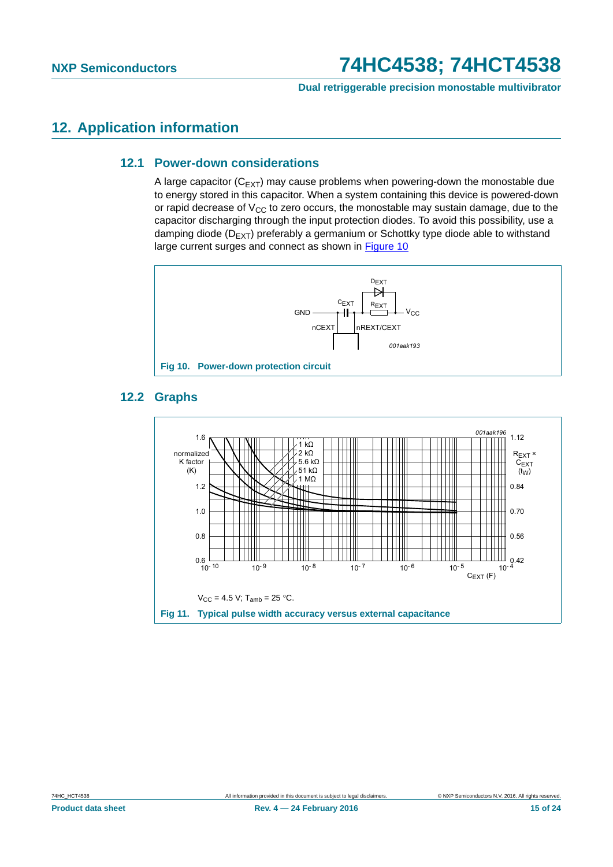**Dual retriggerable precision monostable multivibrator**

### <span id="page-14-2"></span><span id="page-14-1"></span>**12. Application information**

#### **12.1 Power-down considerations**

A large capacitor  $(C_{FXT})$  may cause problems when powering-down the monostable due to energy stored in this capacitor. When a system containing this device is powered-down or rapid decrease of  $V_{CC}$  to zero occurs, the monostable may sustain damage, due to the capacitor discharging through the input protection diodes. To avoid this possibility, use a damping diode ( $D_{E\times T}$ ) preferably a germanium or Schottky type diode able to withstand large current surges and connect as shown in [Figure 10](#page-14-0)





### <span id="page-14-3"></span><span id="page-14-0"></span>**12.2 Graphs**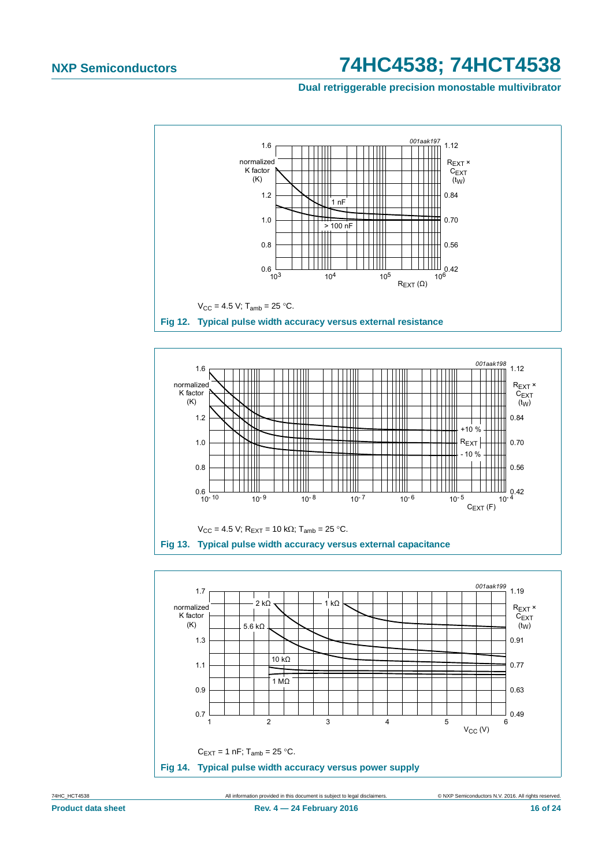Dual retriggerable precision monostable multivibrator







All information provided in this document is subject to legal disclaimers

74HC\_HCT4538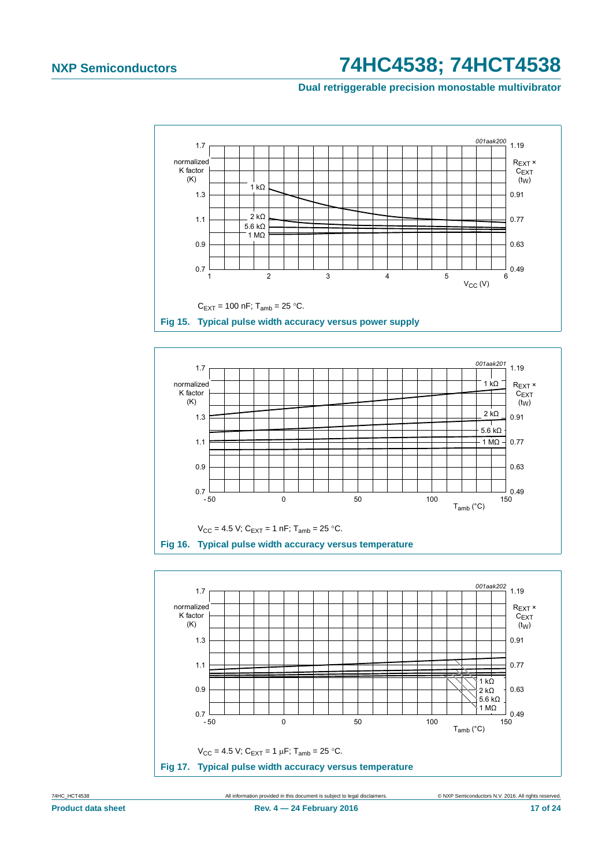#### **Dual retriggerable precision monostable multivibrator**







74HC\_HCT4538 All information provided in this document is subject to legal disclaimers. © NXP Semiconductors N.V. 2016. All rights reserved.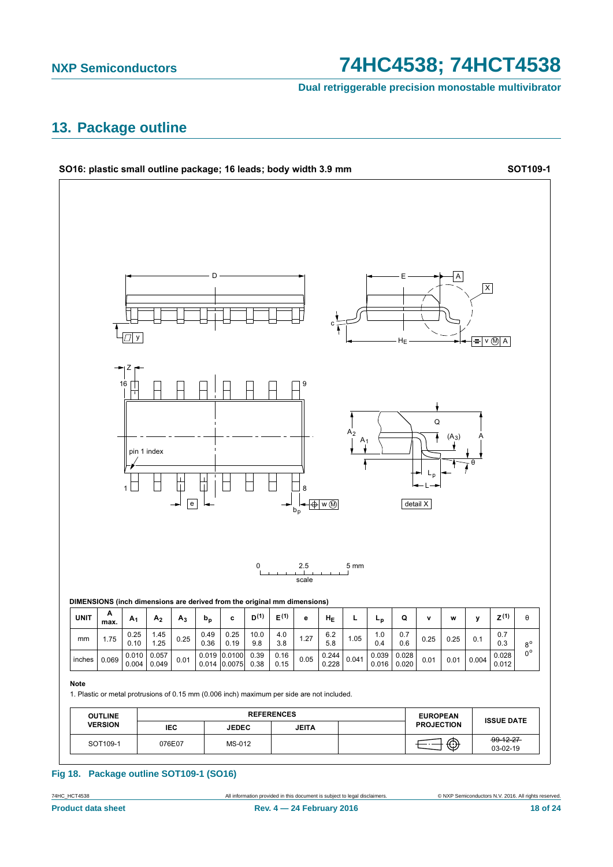#### **NXP Semiconductors**

# 74HC4538; 74HCT4538

Dual retriggerable precision monostable multivibrator

### <span id="page-17-0"></span>13. Package outline



#### Fig 18. Package outline SOT109-1 (SO16)

74HC\_HCT4538

© NXP Semiconductors N.V. 2016. All rights reserved.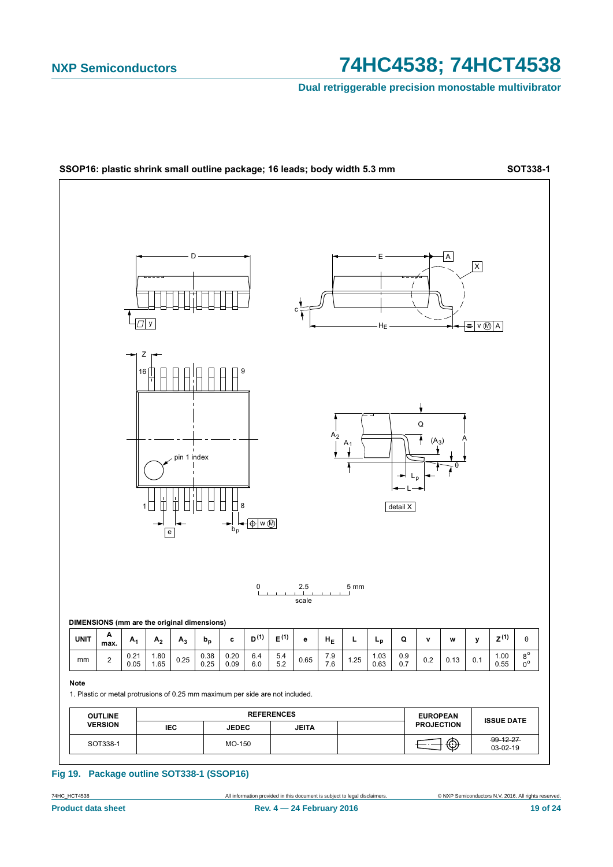Dual retriggerable precision monostable multivibrator



#### Fig 19. Package outline SOT338-1 (SSOP16)

All information provided in this document is subject to legal disclaimers.

74HC\_HCT4538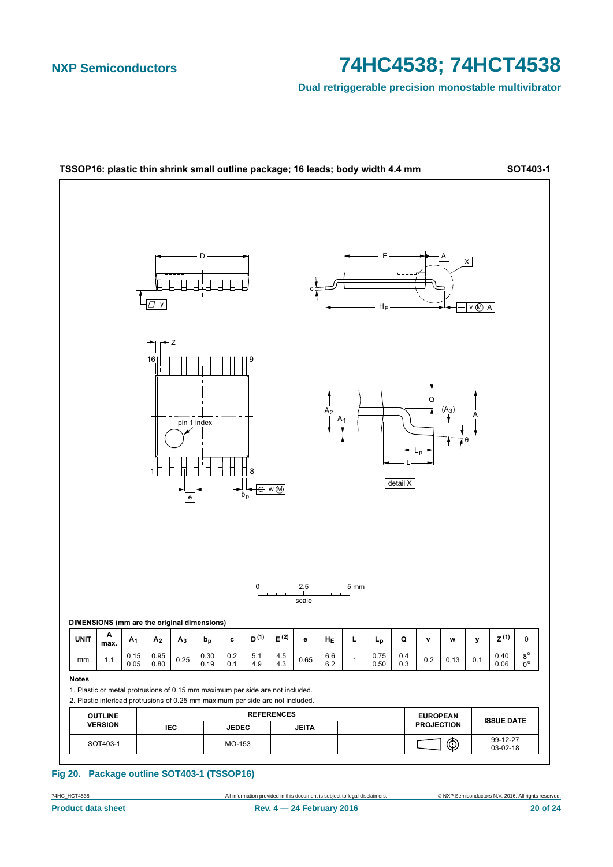Dual retriggerable precision monostable multivibrator



#### Fig 20. Package outline SOT403-1 (TSSOP16)

All information provided in this document is subject to legal disclaimers.

74HC\_HCT4538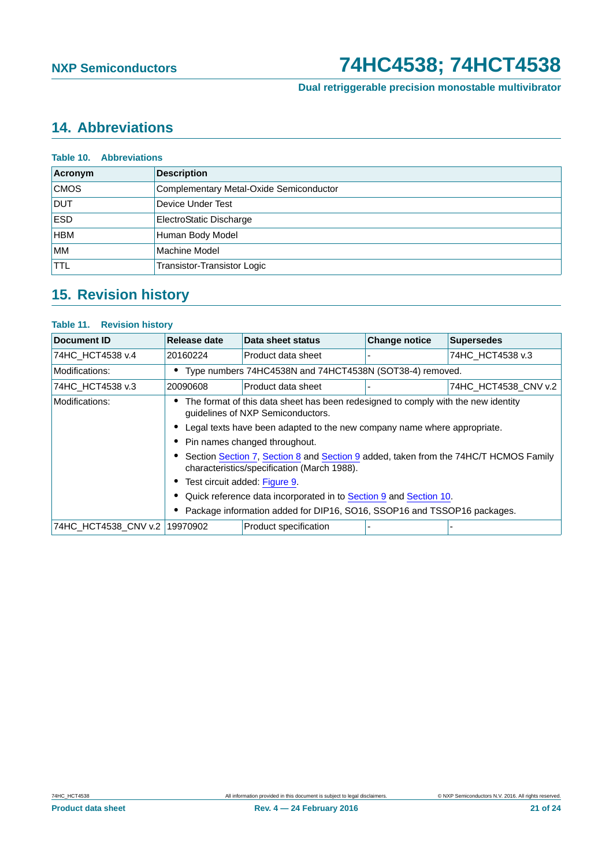**Dual retriggerable precision monostable multivibrator**

# <span id="page-20-0"></span>**14. Abbreviations**

| <b>Table 10. Abbreviations</b> |                                         |  |
|--------------------------------|-----------------------------------------|--|
| Acronym                        | <b>Description</b>                      |  |
| <b>CMOS</b>                    | Complementary Metal-Oxide Semiconductor |  |
| <b>DUT</b>                     | Device Under Test                       |  |
| <b>ESD</b>                     | ElectroStatic Discharge                 |  |
| <b>HBM</b>                     | Human Body Model                        |  |
| <b>MM</b>                      | Machine Model                           |  |
| <b>TTL</b>                     | <b>Transistor-Transistor Logic</b>      |  |

# <span id="page-20-1"></span>**15. Revision history**

#### **Table 11. Revision history**

| Document ID                                                             | <b>Release date</b>                                                                                                                 | Data sheet status     | <b>Change notice</b> | <b>Supersedes</b>    |  |
|-------------------------------------------------------------------------|-------------------------------------------------------------------------------------------------------------------------------------|-----------------------|----------------------|----------------------|--|
| 74HC HCT4538 v.4                                                        | 20160224                                                                                                                            | Product data sheet    |                      | 74HC HCT4538 v.3     |  |
| Modifications:                                                          | • Type numbers 74HC4538N and 74HCT4538N (SOT38-4) removed.                                                                          |                       |                      |                      |  |
| 74HC HCT4538 v.3                                                        | 20090608                                                                                                                            | Product data sheet    |                      | 74HC HCT4538 CNV v.2 |  |
| Modifications:                                                          | The format of this data sheet has been redesigned to comply with the new identity<br>guidelines of NXP Semiconductors.              |                       |                      |                      |  |
|                                                                         | • Legal texts have been adapted to the new company name where appropriate.                                                          |                       |                      |                      |  |
|                                                                         | Pin names changed throughout.                                                                                                       |                       |                      |                      |  |
|                                                                         | Section Section 7, Section 8 and Section 9 added, taken from the 74HC/T HCMOS Family<br>characteristics/specification (March 1988). |                       |                      |                      |  |
|                                                                         | • Test circuit added: Figure 9.                                                                                                     |                       |                      |                      |  |
|                                                                         | • Quick reference data incorporated in to Section 9 and Section 10.                                                                 |                       |                      |                      |  |
| Package information added for DIP16, SO16, SSOP16 and TSSOP16 packages. |                                                                                                                                     |                       |                      |                      |  |
| 74HC HCT4538 CNV v.2   19970902                                         |                                                                                                                                     | Product specification |                      |                      |  |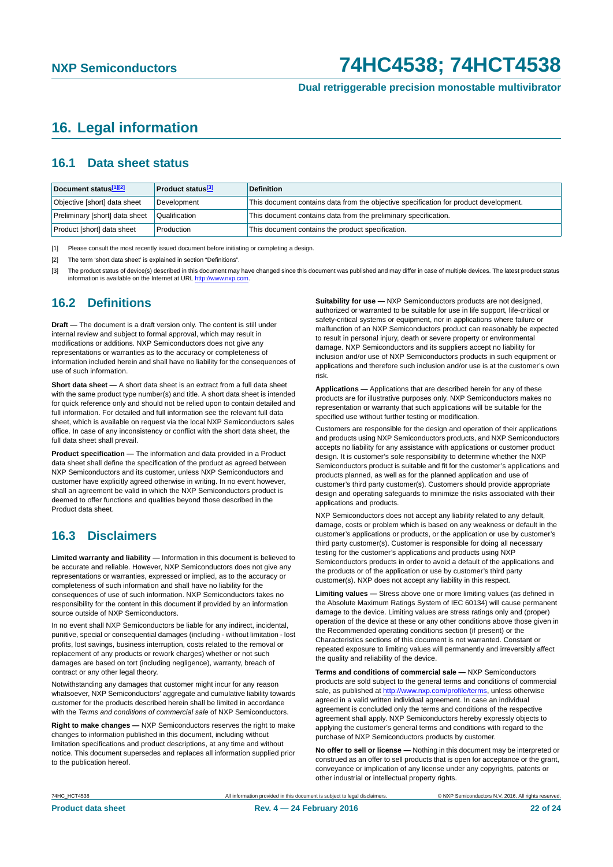### <span id="page-21-3"></span>**16. Legal information**

### <span id="page-21-4"></span>**16.1 Data sheet status**

| Document status[1][2]          | <b>Product status</b> <sup>[3]</sup> | <b>Definition</b>                                                                     |
|--------------------------------|--------------------------------------|---------------------------------------------------------------------------------------|
| Objective [short] data sheet   | Development                          | This document contains data from the objective specification for product development. |
| Preliminary [short] data sheet | Qualification                        | This document contains data from the preliminary specification.                       |
| Product [short] data sheet     | Production                           | This document contains the product specification.                                     |

<span id="page-21-0"></span>[1] Please consult the most recently issued document before initiating or completing a design.

<span id="page-21-1"></span>[2] The term 'short data sheet' is explained in section "Definitions".

<span id="page-21-2"></span>[3] The product status of device(s) described in this document may have changed since this document was published and may differ in case of multiple devices. The latest product status<br>information is available on the Intern

#### <span id="page-21-5"></span>**16.2 Definitions**

**Draft —** The document is a draft version only. The content is still under internal review and subject to formal approval, which may result in modifications or additions. NXP Semiconductors does not give any representations or warranties as to the accuracy or completeness of information included herein and shall have no liability for the consequences of use of such information.

**Short data sheet —** A short data sheet is an extract from a full data sheet with the same product type number(s) and title. A short data sheet is intended for quick reference only and should not be relied upon to contain detailed and full information. For detailed and full information see the relevant full data sheet, which is available on request via the local NXP Semiconductors sales office. In case of any inconsistency or conflict with the short data sheet, the full data sheet shall prevail.

**Product specification —** The information and data provided in a Product data sheet shall define the specification of the product as agreed between NXP Semiconductors and its customer, unless NXP Semiconductors and customer have explicitly agreed otherwise in writing. In no event however, shall an agreement be valid in which the NXP Semiconductors product is deemed to offer functions and qualities beyond those described in the Product data sheet.

### <span id="page-21-6"></span>**16.3 Disclaimers**

**Limited warranty and liability —** Information in this document is believed to be accurate and reliable. However, NXP Semiconductors does not give any representations or warranties, expressed or implied, as to the accuracy or completeness of such information and shall have no liability for the consequences of use of such information. NXP Semiconductors takes no responsibility for the content in this document if provided by an information source outside of NXP Semiconductors.

In no event shall NXP Semiconductors be liable for any indirect, incidental, punitive, special or consequential damages (including - without limitation - lost profits, lost savings, business interruption, costs related to the removal or replacement of any products or rework charges) whether or not such damages are based on tort (including negligence), warranty, breach of contract or any other legal theory.

Notwithstanding any damages that customer might incur for any reason whatsoever, NXP Semiconductors' aggregate and cumulative liability towards customer for the products described herein shall be limited in accordance with the *Terms and conditions of commercial sale* of NXP Semiconductors.

**Right to make changes —** NXP Semiconductors reserves the right to make changes to information published in this document, including without limitation specifications and product descriptions, at any time and without notice. This document supersedes and replaces all information supplied prior to the publication hereof.

**Suitability for use —** NXP Semiconductors products are not designed, authorized or warranted to be suitable for use in life support, life-critical or safety-critical systems or equipment, nor in applications where failure or malfunction of an NXP Semiconductors product can reasonably be expected to result in personal injury, death or severe property or environmental damage. NXP Semiconductors and its suppliers accept no liability for inclusion and/or use of NXP Semiconductors products in such equipment or applications and therefore such inclusion and/or use is at the customer's own risk.

**Applications —** Applications that are described herein for any of these products are for illustrative purposes only. NXP Semiconductors makes no representation or warranty that such applications will be suitable for the specified use without further testing or modification.

Customers are responsible for the design and operation of their applications and products using NXP Semiconductors products, and NXP Semiconductors accepts no liability for any assistance with applications or customer product design. It is customer's sole responsibility to determine whether the NXP Semiconductors product is suitable and fit for the customer's applications and products planned, as well as for the planned application and use of customer's third party customer(s). Customers should provide appropriate design and operating safeguards to minimize the risks associated with their applications and products.

NXP Semiconductors does not accept any liability related to any default, damage, costs or problem which is based on any weakness or default in the customer's applications or products, or the application or use by customer's third party customer(s). Customer is responsible for doing all necessary testing for the customer's applications and products using NXP Semiconductors products in order to avoid a default of the applications and the products or of the application or use by customer's third party customer(s). NXP does not accept any liability in this respect.

**Limiting values —** Stress above one or more limiting values (as defined in the Absolute Maximum Ratings System of IEC 60134) will cause permanent damage to the device. Limiting values are stress ratings only and (proper) operation of the device at these or any other conditions above those given in the Recommended operating conditions section (if present) or the Characteristics sections of this document is not warranted. Constant or repeated exposure to limiting values will permanently and irreversibly affect the quality and reliability of the device.

**Terms and conditions of commercial sale —** NXP Semiconductors products are sold subject to the general terms and conditions of commercial sale, as published at<http://www.nxp.com/profile/terms>, unless otherwise agreed in a valid written individual agreement. In case an individual agreement is concluded only the terms and conditions of the respective agreement shall apply. NXP Semiconductors hereby expressly objects to applying the customer's general terms and conditions with regard to the purchase of NXP Semiconductors products by customer.

**No offer to sell or license —** Nothing in this document may be interpreted or construed as an offer to sell products that is open for acceptance or the grant, conveyance or implication of any license under any copyrights, patents or other industrial or intellectual property rights.

T4HC\_HCT4538 **All information provided in this document is subject to legal disclaimers. ONXP Semiconductors N.V. 2016. All rights reserved.**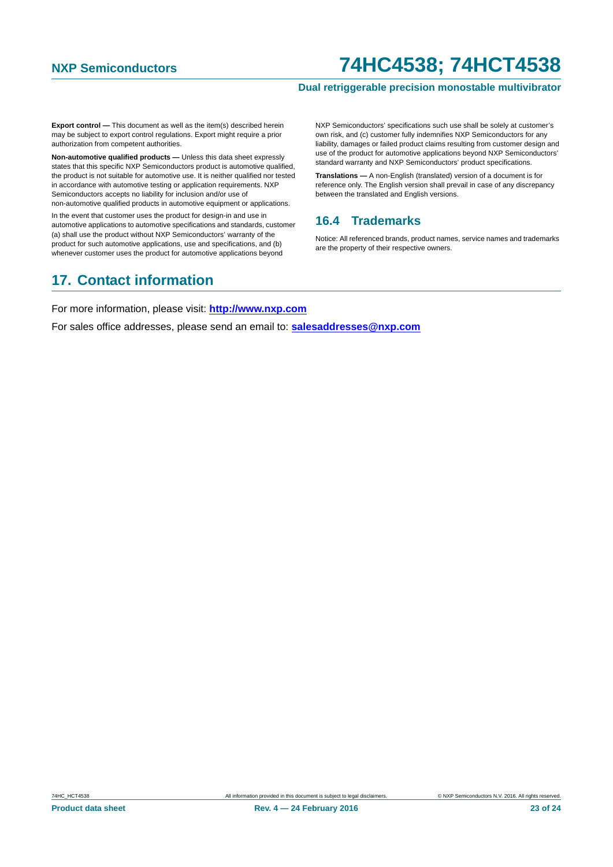#### **Dual retriggerable precision monostable multivibrator**

**Export control —** This document as well as the item(s) described herein may be subject to export control regulations. Export might require a prior authorization from competent authorities.

**Non-automotive qualified products —** Unless this data sheet expressly states that this specific NXP Semiconductors product is automotive qualified, the product is not suitable for automotive use. It is neither qualified nor tested in accordance with automotive testing or application requirements. NXP Semiconductors accepts no liability for inclusion and/or use of non-automotive qualified products in automotive equipment or applications.

In the event that customer uses the product for design-in and use in automotive applications to automotive specifications and standards, customer (a) shall use the product without NXP Semiconductors' warranty of the product for such automotive applications, use and specifications, and (b) whenever customer uses the product for automotive applications beyond

#### NXP Semiconductors' specifications such use shall be solely at customer's own risk, and (c) customer fully indemnifies NXP Semiconductors for any liability, damages or failed product claims resulting from customer design and use of the product for automotive applications beyond NXP Semiconductors' standard warranty and NXP Semiconductors' product specifications.

**Translations —** A non-English (translated) version of a document is for reference only. The English version shall prevail in case of any discrepancy between the translated and English versions.

### <span id="page-22-0"></span>**16.4 Trademarks**

Notice: All referenced brands, product names, service names and trademarks are the property of their respective owners.

### <span id="page-22-1"></span>**17. Contact information**

For more information, please visit: **http://www.nxp.com**

For sales office addresses, please send an email to: **salesaddresses@nxp.com**